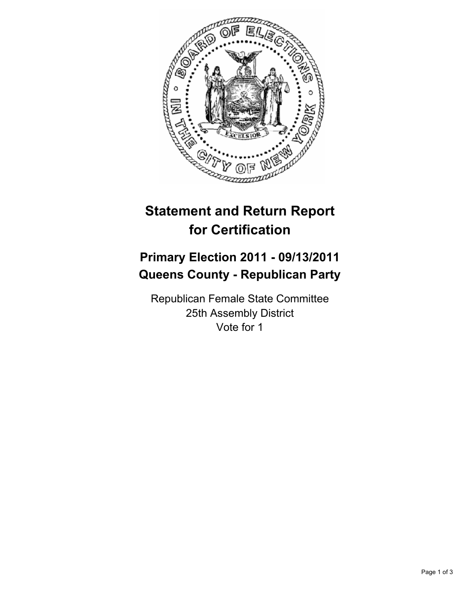

## **Statement and Return Report for Certification**

## **Primary Election 2011 - 09/13/2011 Queens County - Republican Party**

Republican Female State Committee 25th Assembly District Vote for 1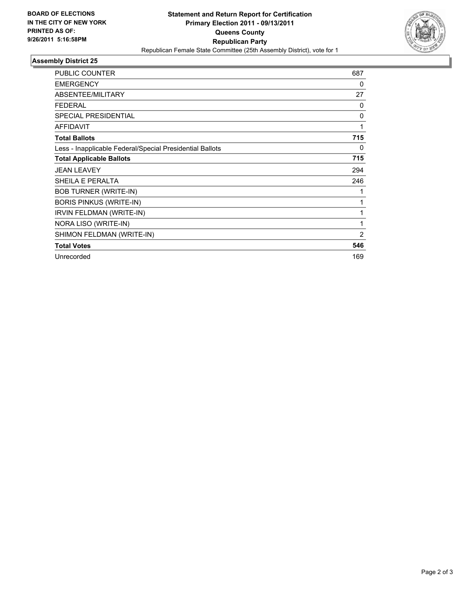

## **Assembly District 25**

| <b>PUBLIC COUNTER</b>                                    | 687 |
|----------------------------------------------------------|-----|
| <b>EMERGENCY</b>                                         | 0   |
| ABSENTEE/MILITARY                                        | 27  |
| <b>FEDERAL</b>                                           | 0   |
| <b>SPECIAL PRESIDENTIAL</b>                              | 0   |
| <b>AFFIDAVIT</b>                                         | 1   |
| <b>Total Ballots</b>                                     | 715 |
| Less - Inapplicable Federal/Special Presidential Ballots | 0   |
| <b>Total Applicable Ballots</b>                          | 715 |
| <b>JEAN LEAVEY</b>                                       | 294 |
| SHEILA E PERALTA                                         | 246 |
| <b>BOB TURNER (WRITE-IN)</b>                             |     |
| <b>BORIS PINKUS (WRITE-IN)</b>                           | 1   |
| IRVIN FELDMAN (WRITE-IN)                                 | 1   |
| NORA LISO (WRITE-IN)                                     | 1   |
| SHIMON FELDMAN (WRITE-IN)                                | 2   |
| <b>Total Votes</b>                                       | 546 |
| Unrecorded                                               | 169 |